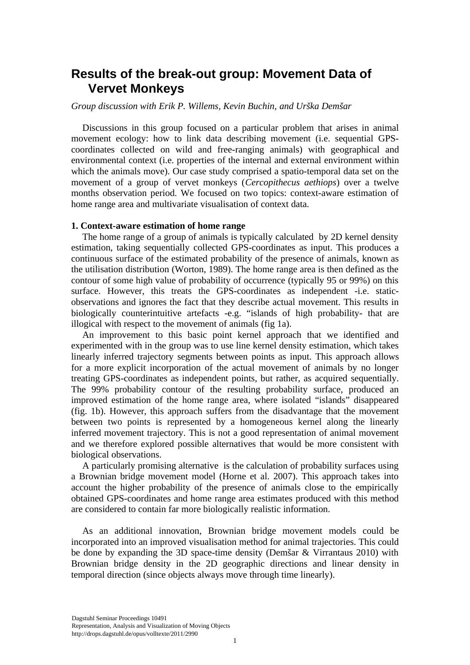# **Results of the break-out group: Movement Data of Vervet Monkeys**

### *Group discussion with Erik P. Willems, Kevin Buchin, and Urška Demšar*

Discussions in this group focused on a particular problem that arises in animal movement ecology: how to link data describing movement (i.e. sequential GPScoordinates collected on wild and free-ranging animals) with geographical and environmental context (i.e. properties of the internal and external environment within which the animals move). Our case study comprised a spatio-temporal data set on the movement of a group of vervet monkeys (*Cercopithecus aethiops*) over a twelve months observation period. We focused on two topics: context-aware estimation of home range area and multivariate visualisation of context data.

### **1. Context-aware estimation of home range**

The home range of a group of animals is typically calculated by 2D kernel density estimation, taking sequentially collected GPS-coordinates as input. This produces a continuous surface of the estimated probability of the presence of animals, known as the utilisation distribution (Worton, 1989). The home range area is then defined as the contour of some high value of probability of occurrence (typically 95 or 99%) on this surface. However, this treats the GPS-coordinates as independent -i.e. staticobservations and ignores the fact that they describe actual movement. This results in biologically counterintuitive artefacts -e.g. "islands of high probability- that are illogical with respect to the movement of animals (fig 1a).

An improvement to this basic point kernel approach that we identified and experimented with in the group was to use line kernel density estimation, which takes linearly inferred trajectory segments between points as input. This approach allows for a more explicit incorporation of the actual movement of animals by no longer treating GPS-coordinates as independent points, but rather, as acquired sequentially. The 99% probability contour of the resulting probability surface, produced an improved estimation of the home range area, where isolated "islands" disappeared (fig. 1b). However, this approach suffers from the disadvantage that the movement between two points is represented by a homogeneous kernel along the linearly inferred movement trajectory. This is not a good representation of animal movement and we therefore explored possible alternatives that would be more consistent with biological observations.

A particularly promising alternative is the calculation of probability surfaces using a Brownian bridge movement model (Horne et al. 2007). This approach takes into account the higher probability of the presence of animals close to the empirically obtained GPS-coordinates and home range area estimates produced with this method are considered to contain far more biologically realistic information.

As an additional innovation, Brownian bridge movement models could be incorporated into an improved visualisation method for animal trajectories. This could be done by expanding the 3D space-time density (Demšar & Virrantaus 2010) with Brownian bridge density in the 2D geographic directions and linear density in temporal direction (since objects always move through time linearly).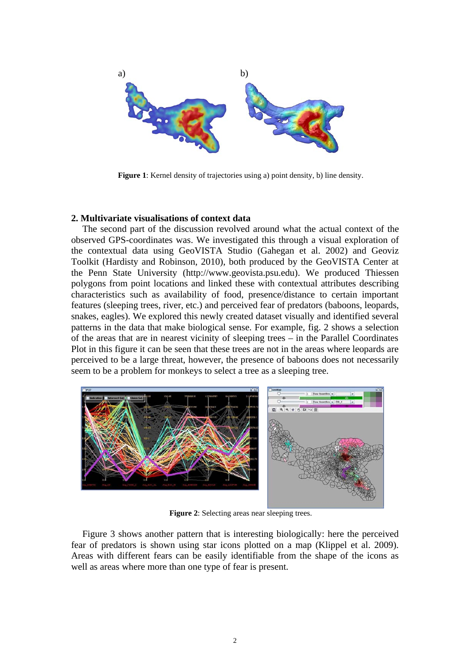

**Figure 1**: Kernel density of trajectories using a) point density, b) line density.

#### **2. Multivariate visualisations of context data**

The second part of the discussion revolved around what the actual context of the observed GPS-coordinates was. We investigated this through a visual exploration of the contextual data using GeoVISTA Studio (Gahegan et al. 2002) and Geoviz Toolkit (Hardisty and Robinson, 2010), both produced by the GeoVISTA Center at the Penn State University (http://www.geovista.psu.edu). We produced Thiessen polygons from point locations and linked these with contextual attributes describing characteristics such as availability of food, presence/distance to certain important features (sleeping trees, river, etc.) and perceived fear of predators (baboons, leopards, snakes, eagles). We explored this newly created dataset visually and identified several patterns in the data that make biological sense. For example, fig. 2 shows a selection of the areas that are in nearest vicinity of sleeping trees – in the Parallel Coordinates Plot in this figure it can be seen that these trees are not in the areas where leopards are perceived to be a large threat, however, the presence of baboons does not necessarily seem to be a problem for monkeys to select a tree as a sleeping tree.



**Figure 2**: Selecting areas near sleeping trees.

Figure 3 shows another pattern that is interesting biologically: here the perceived fear of predators is shown using star icons plotted on a map (Klippel et al. 2009). Areas with different fears can be easily identifiable from the shape of the icons as well as areas where more than one type of fear is present.